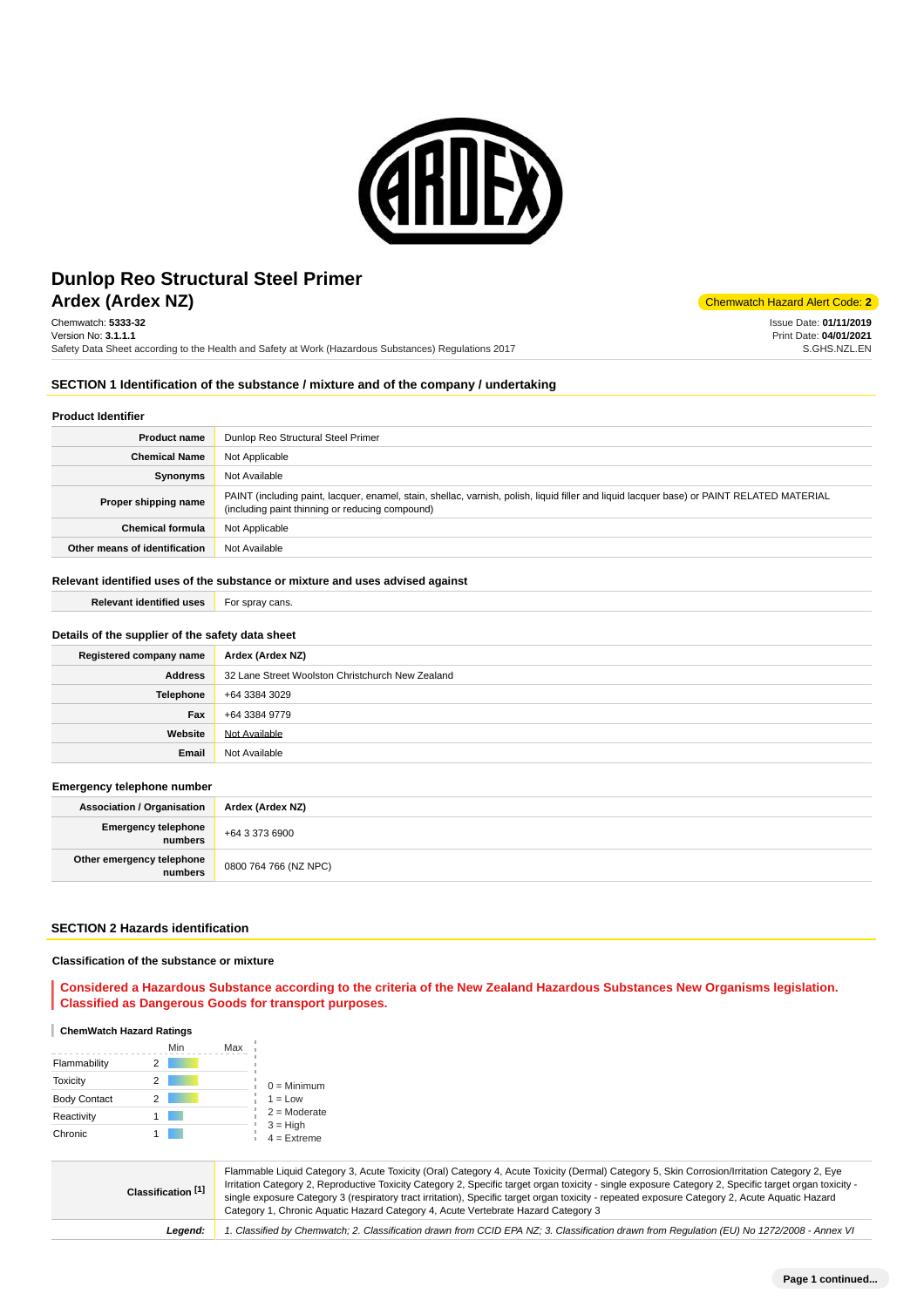

# **Ardex (Ardex NZ)** Chemwatch Hazard Alert Code: 2 **Dunlop Reo Structural Steel Primer**

Chemwatch: **5333-32** Version No: **3.1.1.1** Safety Data Sheet according to the Health and Safety at Work (Hazardous Substances) Regulations 2017

Issue Date: **01/11/2019** Print Date: **04/01/2021** S.GHS.NZL.EN

#### **SECTION 1 Identification of the substance / mixture and of the company / undertaking**

#### **Product Identifier**

| <b>Product name</b>           | Dunlop Reo Structural Steel Primer                                                                                                                                                            |
|-------------------------------|-----------------------------------------------------------------------------------------------------------------------------------------------------------------------------------------------|
| <b>Chemical Name</b>          | Not Applicable                                                                                                                                                                                |
| Synonyms                      | Not Available                                                                                                                                                                                 |
| Proper shipping name          | PAINT (including paint, lacquer, enamel, stain, shellac, varnish, polish, liquid filler and liquid lacquer base) or PAINT RELATED MATERIAL<br>(including paint thinning or reducing compound) |
| <b>Chemical formula</b>       | Not Applicable                                                                                                                                                                                |
| Other means of identification | Not Available                                                                                                                                                                                 |

#### **Relevant identified uses of the substance or mixture and uses advised against**

| <b>Relevant identified uses</b> | For spray cans. |
|---------------------------------|-----------------|
|                                 |                 |

## **Details of the supplier of the safety data sheet**

| Registered company name | Ardex (Ardex NZ)                                 |
|-------------------------|--------------------------------------------------|
| <b>Address</b>          | 32 Lane Street Woolston Christchurch New Zealand |
| <b>Telephone</b>        | +64 3384 3029                                    |
| Fax                     | +64 3384 9779                                    |
| Website                 | Not Available                                    |
| Email                   | Not Available                                    |

#### **Emergency telephone number**

| <b>Association / Organisation</b>    | Ardex (Ardex NZ)      |
|--------------------------------------|-----------------------|
| Emergency telephone<br>numbers       | +64 3 373 6900        |
| Other emergency telephone<br>numbers | 0800 764 766 (NZ NPC) |

## **SECTION 2 Hazards identification**

#### **Classification of the substance or mixture**

#### **Considered a Hazardous Substance according to the criteria of the New Zealand Hazardous Substances New Organisms legislation. Classified as Dangerous Goods for transport purposes.**

#### **ChemWatch Hazard Ratings**

|                     | Min | Max |                             |
|---------------------|-----|-----|-----------------------------|
| Flammability        |     |     |                             |
| Toxicity            | 2   |     | $0 =$ Minimum               |
| <b>Body Contact</b> | 2   |     | $1 = Low$                   |
| Reactivity          |     |     | $2 =$ Moderate              |
| Chronic             |     |     | $3 = High$<br>$4 =$ Extreme |

**Classification [1]** Flammable Liquid Category 3, Acute Toxicity (Oral) Category 4, Acute Toxicity (Dermal) Category 5, Skin Corrosion/Irritation Category 2, Eye Irritation Category 2, Reproductive Toxicity Category 2, Specific target organ toxicity - single exposure Category 2, Specific target organ toxicity single exposure Category 3 (respiratory tract irritation), Specific target organ toxicity - repeated exposure Category 2, Acute Aquatic Hazard Category 1, Chronic Aquatic Hazard Category 4, Acute Vertebrate Hazard Category 3 **Legend:** 1. Classified by Chemwatch; 2. Classification drawn from CCID EPA NZ; 3. Classification drawn from Regulation (EU) No 1272/2008 - Annex VI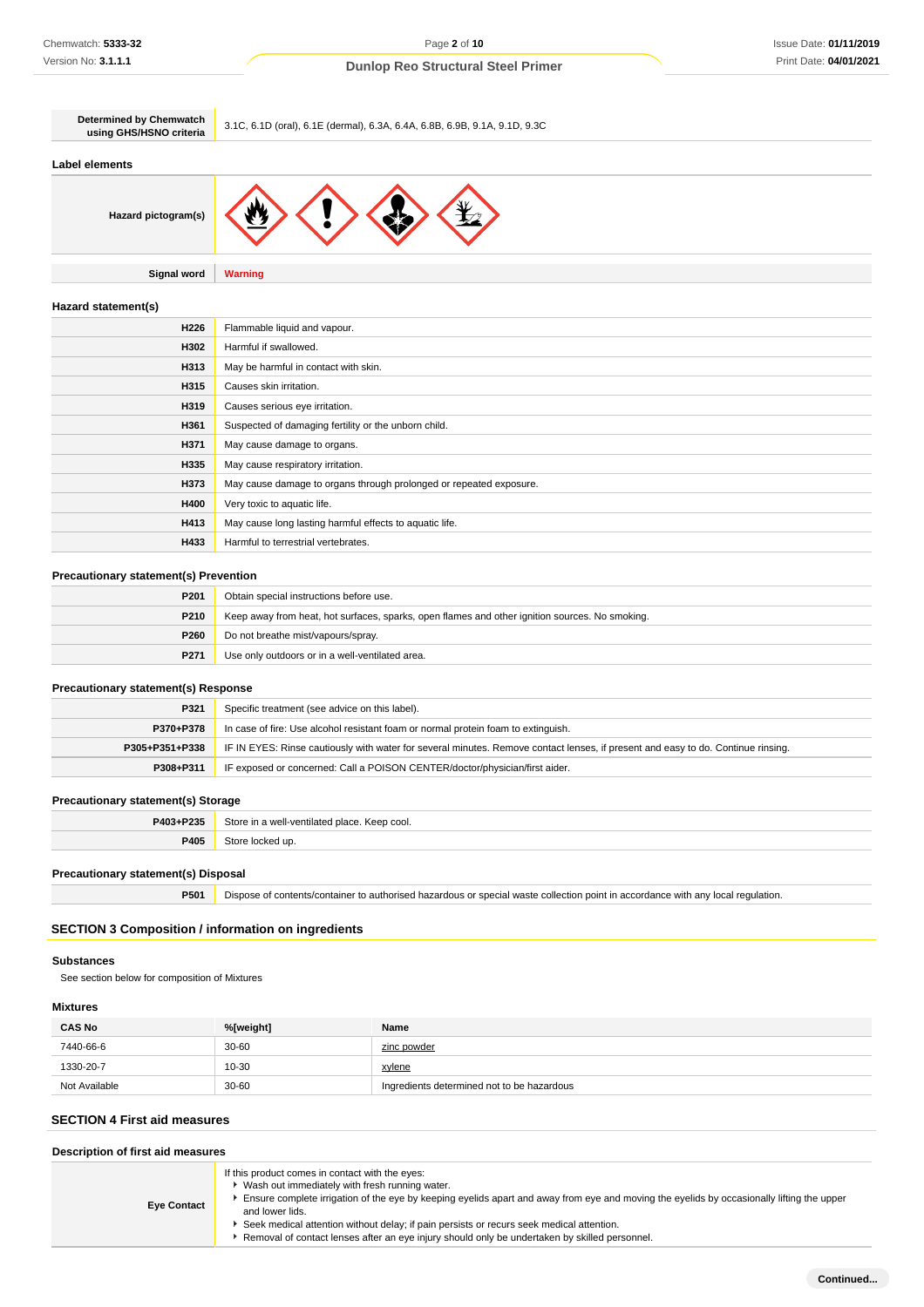| <b>Determined by Chemwatch</b><br>using GHS/HSNO criteria | 3.1C, 6.1D (oral), 6.1E (dermal), 6.3A, 6.4A, 6.8B, 6.9B, 9.1A, 9.1D, 9.3C |
|-----------------------------------------------------------|----------------------------------------------------------------------------|
| <b>Label elements</b>                                     |                                                                            |
| Hazard pictogram(s)                                       |                                                                            |
| <b>Signal word</b>                                        | <b>Warning</b>                                                             |
| Hazard statement(s)                                       |                                                                            |
| H226                                                      | Flammable liquid and vapour.                                               |
| H302                                                      | Harmful if swallowed.                                                      |
| H313                                                      | May be harmful in contact with skin.                                       |
| H315                                                      | Causes skin irritation.                                                    |
| H319                                                      | Causes serious eye irritation.                                             |
| H361                                                      | Suspected of damaging fertility or the unborn child.                       |
| H371                                                      | May cause damage to organs.                                                |
| H335                                                      | May cause respiratory irritation.                                          |
| H373                                                      | May cause damage to organs through prolonged or repeated exposure.         |
| H400                                                      | Very toxic to aquatic life.                                                |
| H413                                                      | May cause long lasting harmful effects to aquatic life.                    |

## **Precautionary statement(s) Prevention**

**H433** Harmful to terrestrial vertebrates.

| P201        | Obtain special instructions before use.                                                        |
|-------------|------------------------------------------------------------------------------------------------|
| <b>P210</b> | Keep away from heat, hot surfaces, sparks, open flames and other ignition sources. No smoking. |
| P260        | Do not breathe mist/vapours/spray.                                                             |
| P271        | Use only outdoors or in a well-ventilated area.                                                |

## **Precautionary statement(s) Response**

| P321           | Specific treatment (see advice on this label).                                                                                   |
|----------------|----------------------------------------------------------------------------------------------------------------------------------|
| P370+P378      | In case of fire: Use alcohol resistant foam or normal protein foam to extinguish.                                                |
| P305+P351+P338 | IF IN EYES: Rinse cautiously with water for several minutes. Remove contact lenses, if present and easy to do. Continue rinsing. |
| P308+P311      | IF exposed or concerned: Call a POISON CENTER/doctor/physician/first aider.                                                      |

## **Precautionary statement(s) Storage**

| <b>DOOF</b><br><b>D</b> 100 | Stor<br>100<br>nlacı<br>cool.<br>Keet<br>lotoc<br>. |
|-----------------------------|-----------------------------------------------------|
| <b>P405</b><br>$-0.7$       |                                                     |

## **Precautionary statement(s) Disposal**

**P501** Dispose of contents/container to authorised hazardous or special waste collection point in accordance with any local regulation.

# **SECTION 3 Composition / information on ingredients**

## **Substances**

See section below for composition of Mixtures

# **Mixtures**

| <b>CAS No</b> | %[weight] | Name                                       |
|---------------|-----------|--------------------------------------------|
| 7440-66-6     | 30-60     | zinc powder                                |
| 1330-20-7     | 10-30     | xylene                                     |
| Not Available | 30-60     | Ingredients determined not to be hazardous |

## **SECTION 4 First aid measures**

| Description of first aid measures |                                                                                                                                                                                                                                                                                                                                                                                                                                                                |  |
|-----------------------------------|----------------------------------------------------------------------------------------------------------------------------------------------------------------------------------------------------------------------------------------------------------------------------------------------------------------------------------------------------------------------------------------------------------------------------------------------------------------|--|
| <b>Eye Contact</b>                | If this product comes in contact with the eyes:<br>Wash out immediately with fresh running water.<br>Ensure complete irrigation of the eye by keeping eyelids apart and away from eye and moving the eyelids by occasionally lifting the upper<br>and lower lids.<br>Seek medical attention without delay; if pain persists or recurs seek medical attention.<br>Removal of contact lenses after an eye injury should only be undertaken by skilled personnel. |  |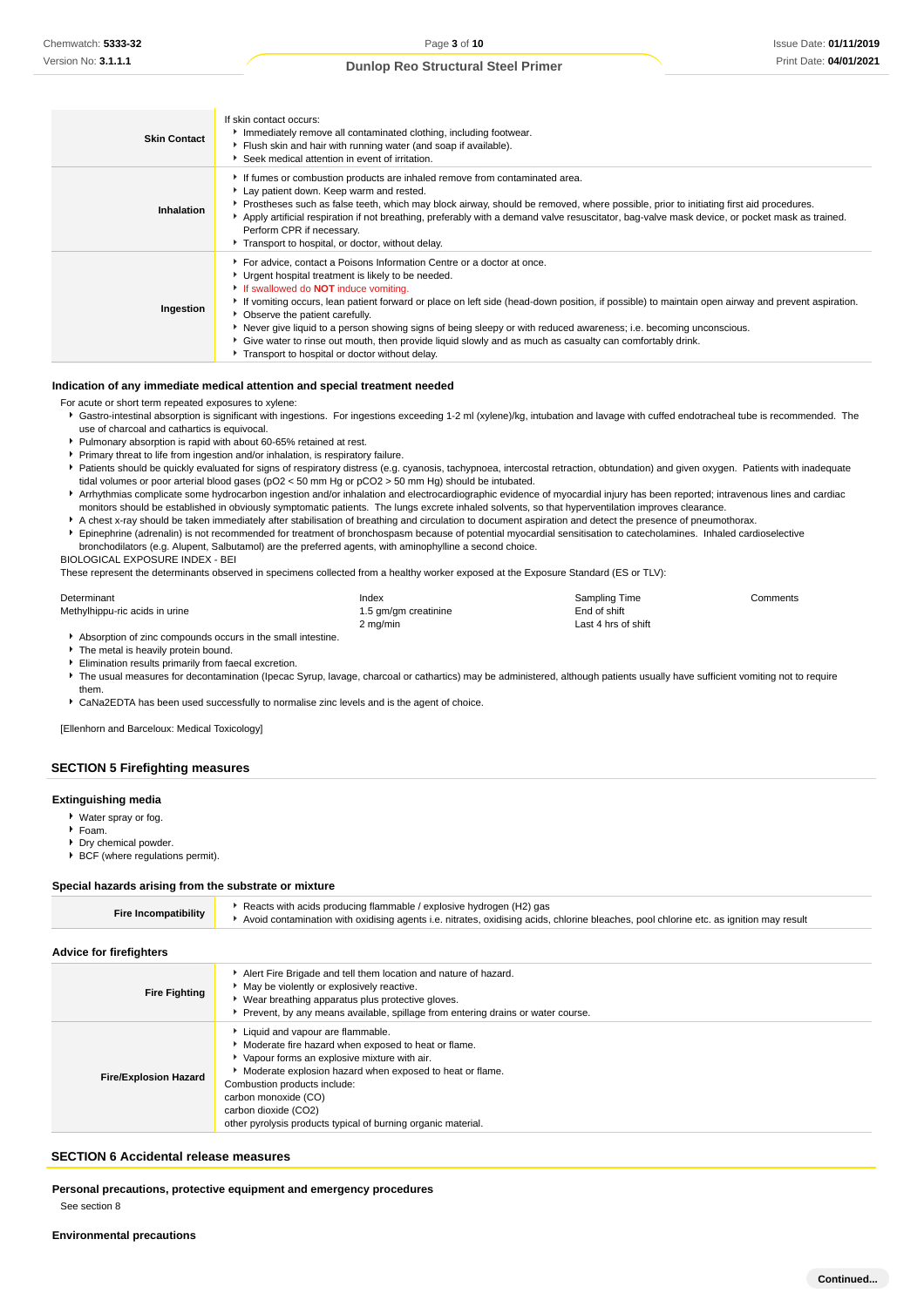| <b>Skin Contact</b> | If skin contact occurs:<br>Immediately remove all contaminated clothing, including footwear.<br>Flush skin and hair with running water (and soap if available).<br>Seek medical attention in event of irritation.                                                                                                                                                                                                                                                                                                                                                                                                                                        |
|---------------------|----------------------------------------------------------------------------------------------------------------------------------------------------------------------------------------------------------------------------------------------------------------------------------------------------------------------------------------------------------------------------------------------------------------------------------------------------------------------------------------------------------------------------------------------------------------------------------------------------------------------------------------------------------|
| Inhalation          | If fumes or combustion products are inhaled remove from contaminated area.<br>Lay patient down. Keep warm and rested.<br>Prostheses such as false teeth, which may block airway, should be removed, where possible, prior to initiating first aid procedures.<br>Apply artificial respiration if not breathing, preferably with a demand valve resuscitator, bag-valve mask device, or pocket mask as trained.<br>Perform CPR if necessary.<br>Transport to hospital, or doctor, without delay.                                                                                                                                                          |
| Ingestion           | For advice, contact a Poisons Information Centre or a doctor at once.<br>▶ Urgent hospital treatment is likely to be needed.<br>If swallowed do <b>NOT</b> induce vomiting.<br>► If vomiting occurs, lean patient forward or place on left side (head-down position, if possible) to maintain open airway and prevent aspiration.<br>• Observe the patient carefully.<br>Never give liquid to a person showing signs of being sleepy or with reduced awareness; i.e. becoming unconscious.<br>Give water to rinse out mouth, then provide liquid slowly and as much as casualty can comfortably drink.<br>Transport to hospital or doctor without delay. |

#### **Indication of any immediate medical attention and special treatment needed**

- For acute or short term repeated exposures to xylene:
- Gastro-intestinal absorption is significant with ingestions. For ingestions exceeding 1-2 ml (xylene)/kg, intubation and lavage with cuffed endotracheal tube is recommended. The use of charcoal and cathartics is equivocal.
- Pulmonary absorption is rapid with about 60-65% retained at rest.
- **Primary threat to life from ingestion and/or inhalation, is respiratory failure.**
- Patients should be quickly evaluated for signs of respiratory distress (e.g. cyanosis, tachypnoea, intercostal retraction, obtundation) and given oxygen. Patients with inadequate tidal volumes or poor arterial blood gases (pO2 < 50 mm Hg or pCO2 > 50 mm Hg) should be intubated.
- Arrhythmias complicate some hydrocarbon ingestion and/or inhalation and electrocardiographic evidence of myocardial injury has been reported; intravenous lines and cardiac monitors should be established in obviously symptomatic patients. The lungs excrete inhaled solvents, so that hyperventilation improves clearance.
- A chest x-ray should be taken immediately after stabilisation of breathing and circulation to document aspiration and detect the presence of pneumothorax.
- Epinephrine (adrenalin) is not recommended for treatment of bronchospasm because of potential myocardial sensitisation to catecholamines. Inhaled cardioselective
- bronchodilators (e.g. Alupent, Salbutamol) are the preferred agents, with aminophylline a second choice.

BIOLOGICAL EXPOSURE INDEX - BEI

These represent the determinants observed in specimens collected from a healthy worker exposed at the Exposure Standard (ES or TLV):

| Determinant                                                 | Index                | Sampling Time        | Comments |
|-------------------------------------------------------------|----------------------|----------------------|----------|
| Methylhippu-ric acids in urine                              | 1.5 gm/gm creatinine | End of shift         |          |
|                                                             | 2 mg/min             | Last 4 hrs of shift_ |          |
| Absorption of zinc compounds occurs in the small intestine. |                      |                      |          |

- 
- The metal is heavily protein bound. Elimination results primarily from faecal excretion.
- 
- The usual measures for decontamination (Ipecac Syrup, lavage, charcoal or cathartics) may be administered, although patients usually have sufficient vomiting not to require them.

CaNa2EDTA has been used successfully to normalise zinc levels and is the agent of choice.

[Ellenhorn and Barceloux: Medical Toxicology]

## **SECTION 5 Firefighting measures**

#### **Extinguishing media**

- Water spray or fog.
- Foam.
- Dry chemical powder.
- BCF (where regulations permit).

#### **Special hazards arising from the substrate or mixture**

| <b>Fire Incompatibility</b>    | Reacts with acids producing flammable / explosive hydrogen (H2) gas<br>Avoid contamination with oxidising agents i.e. nitrates, oxidising acids, chlorine bleaches, pool chlorine etc. as ignition may result                                                                                                                                         |
|--------------------------------|-------------------------------------------------------------------------------------------------------------------------------------------------------------------------------------------------------------------------------------------------------------------------------------------------------------------------------------------------------|
| <b>Advice for firefighters</b> |                                                                                                                                                                                                                                                                                                                                                       |
| <b>Fire Fighting</b>           | Alert Fire Brigade and tell them location and nature of hazard.<br>• May be violently or explosively reactive.<br>• Wear breathing apparatus plus protective gloves.<br>Prevent, by any means available, spillage from entering drains or water course.                                                                                               |
| <b>Fire/Explosion Hazard</b>   | Liquid and vapour are flammable.<br>Moderate fire hazard when exposed to heat or flame.<br>• Vapour forms an explosive mixture with air.<br>Moderate explosion hazard when exposed to heat or flame.<br>Combustion products include:<br>carbon monoxide (CO)<br>carbon dioxide (CO2)<br>other pyrolysis products typical of burning organic material. |

#### **SECTION 6 Accidental release measures**

**Personal precautions, protective equipment and emergency procedures**

See section 8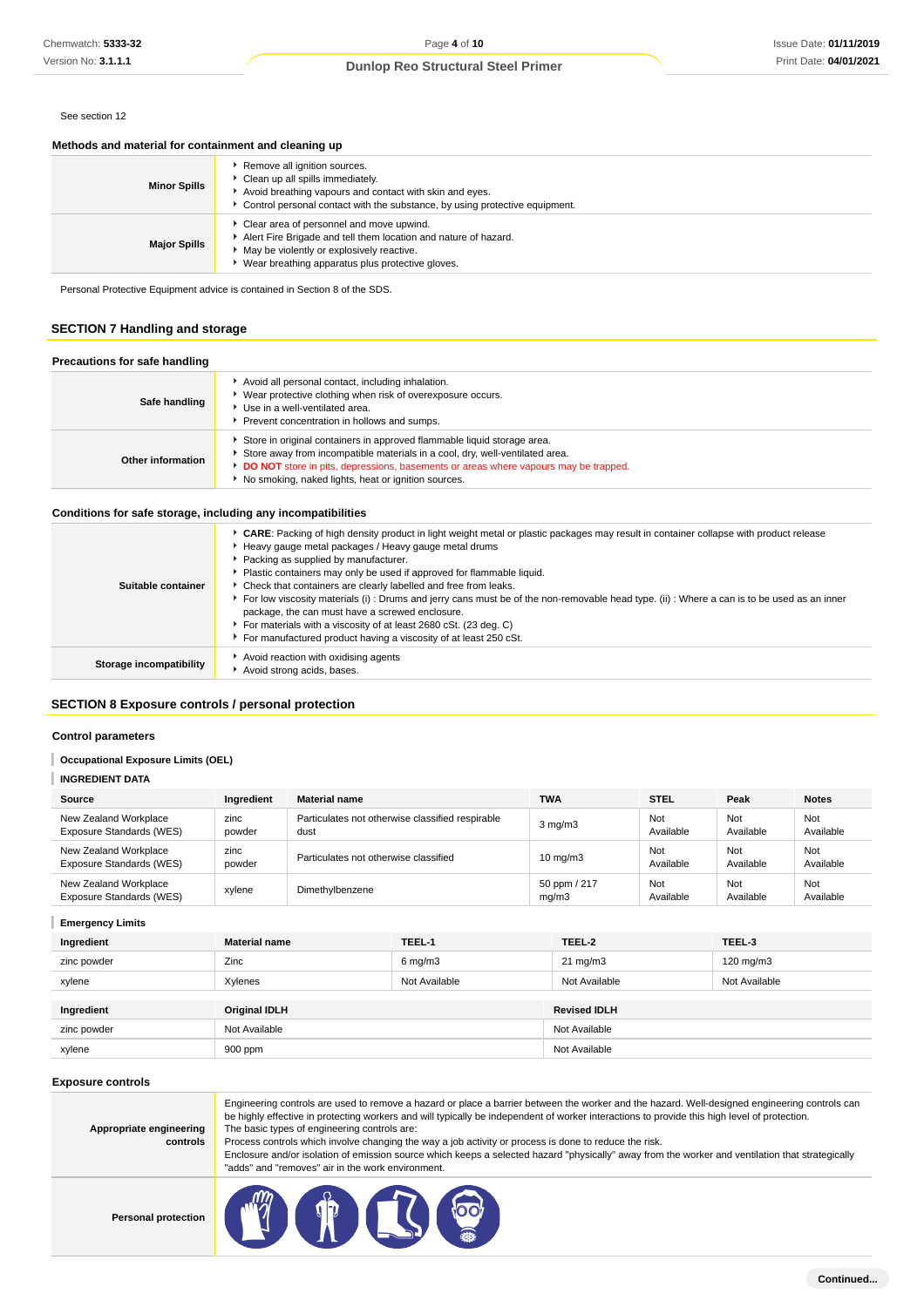#### See section 12

## **Methods and material for containment and cleaning up**

| <b>Minor Spills</b> | Remove all ignition sources.<br>Clean up all spills immediately.<br>Avoid breathing vapours and contact with skin and eyes.<br>Control personal contact with the substance, by using protective equipment.       |
|---------------------|------------------------------------------------------------------------------------------------------------------------------------------------------------------------------------------------------------------|
| <b>Major Spills</b> | • Clear area of personnel and move upwind.<br>Alert Fire Brigade and tell them location and nature of hazard.<br>May be violently or explosively reactive.<br>▶ Wear breathing apparatus plus protective gloves. |

Personal Protective Equipment advice is contained in Section 8 of the SDS.

## **SECTION 7 Handling and storage**

#### **Precautions for safe handling**

| Safe handling     | Avoid all personal contact, including inhalation.<br>Wear protective clothing when risk of overexposure occurs.<br>Use in a well-ventilated area.<br>Prevent concentration in hollows and sumps.                                                                                                      |
|-------------------|-------------------------------------------------------------------------------------------------------------------------------------------------------------------------------------------------------------------------------------------------------------------------------------------------------|
| Other information | Store in original containers in approved flammable liquid storage area.<br>Store away from incompatible materials in a cool, dry, well-ventilated area.<br>DO NOT store in pits, depressions, basements or areas where vapours may be trapped.<br>No smoking, naked lights, heat or ignition sources. |

## **Conditions for safe storage, including any incompatibilities**

| Suitable container      | ▶ CARE: Packing of high density product in light weight metal or plastic packages may result in container collapse with product release<br>Heavy gauge metal packages / Heavy gauge metal drums<br>Packing as supplied by manufacturer.<br>Plastic containers may only be used if approved for flammable liquid.<br>• Check that containers are clearly labelled and free from leaks.<br>For low viscosity materials (i): Drums and jerry cans must be of the non-removable head type. (ii): Where a can is to be used as an inner<br>package, the can must have a screwed enclosure.<br>For materials with a viscosity of at least 2680 cSt. (23 deg. C)<br>For manufactured product having a viscosity of at least 250 cSt. |
|-------------------------|-------------------------------------------------------------------------------------------------------------------------------------------------------------------------------------------------------------------------------------------------------------------------------------------------------------------------------------------------------------------------------------------------------------------------------------------------------------------------------------------------------------------------------------------------------------------------------------------------------------------------------------------------------------------------------------------------------------------------------|
| Storage incompatibility | Avoid reaction with oxidising agents<br>Avoid strong acids, bases.                                                                                                                                                                                                                                                                                                                                                                                                                                                                                                                                                                                                                                                            |
|                         |                                                                                                                                                                                                                                                                                                                                                                                                                                                                                                                                                                                                                                                                                                                               |

## **SECTION 8 Exposure controls / personal protection**

#### **Control parameters**

#### **Occupational Exposure Limits (OEL)** ı

#### **INGREDIENT DATA**

| Source                                            | Ingredient     | <b>Material name</b>                                     | <b>TWA</b>            | <b>STEL</b>      | Peak             | <b>Notes</b>     |
|---------------------------------------------------|----------------|----------------------------------------------------------|-----------------------|------------------|------------------|------------------|
| New Zealand Workplace<br>Exposure Standards (WES) | zinc<br>powder | Particulates not otherwise classified respirable<br>dust | $3 \text{ mg/m}$      | Not<br>Available | Not<br>Available | Not<br>Available |
| New Zealand Workplace<br>Exposure Standards (WES) | zinc<br>powder | Particulates not otherwise classified                    | $10 \text{ mg/m}$     | Not<br>Available | Not<br>Available | Not<br>Available |
| New Zealand Workplace<br>Exposure Standards (WES) | xylene         | Dimethylbenzene                                          | 50 ppm / 217<br>mq/m3 | Not<br>Available | Not<br>Available | Not<br>Available |

## **Emergency Limits**

| Ingredient  | <b>Material name</b> | TEEL-1             | TEEL-2              | TEEL-3             |
|-------------|----------------------|--------------------|---------------------|--------------------|
| zinc powder | Zinc                 | $6 \text{ mg/m}$ 3 | $21 \text{ mg/m}$   | $120 \text{ mg/m}$ |
| xylene      | Xylenes              | Not Available      | Not Available       | Not Available      |
|             |                      |                    |                     |                    |
| Ingredient  | <b>Original IDLH</b> |                    | <b>Revised IDLH</b> |                    |
| zinc powder | Not Available        |                    | Not Available       |                    |
| xylene      | 900 ppm              |                    | Not Available       |                    |

## **Exposure controls**

| Appropriate engineering |  |
|-------------------------|--|
| controls                |  |

Engineering controls are used to remove a hazard or place a barrier between the worker and the hazard. Well-designed engineering controls can be highly effective in protecting workers and will typically be independent of worker interactions to provide this high level of protection. The basic types of engineering controls are:

Process controls which involve changing the way a job activity or process is done to reduce the risk.

Enclosure and/or isolation of emission source which keeps a selected hazard "physically" away from the worker and ventilation that strategically "adds" and "removes" air in the work environment.

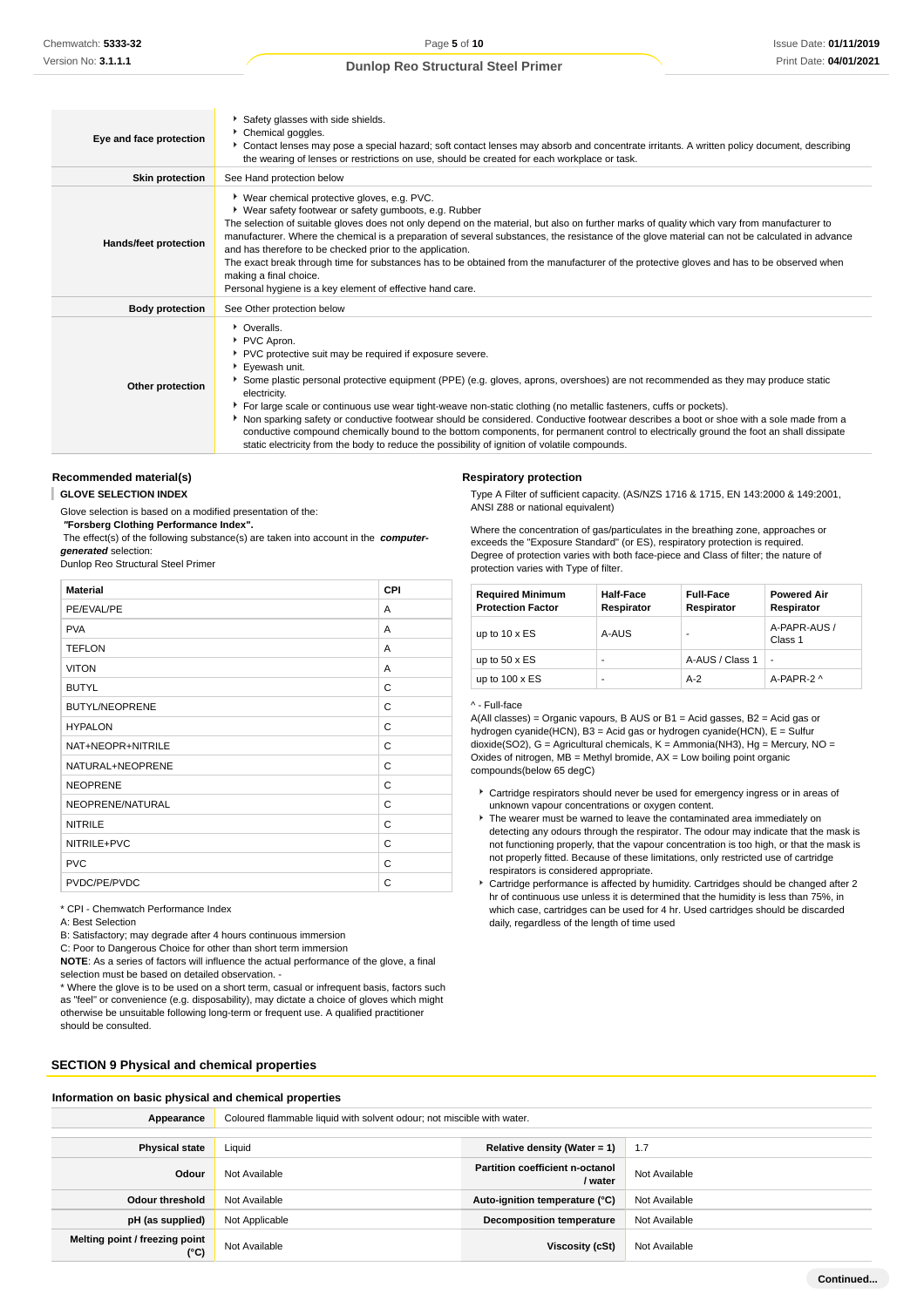| Eye and face protection | Safety glasses with side shields.<br>Chemical goggles.<br>Contact lenses may pose a special hazard; soft contact lenses may absorb and concentrate irritants. A written policy document, describing<br>the wearing of lenses or restrictions on use, should be created for each workplace or task.                                                                                                                                                                                                                                                                                                                                                                                                                                                                  |
|-------------------------|---------------------------------------------------------------------------------------------------------------------------------------------------------------------------------------------------------------------------------------------------------------------------------------------------------------------------------------------------------------------------------------------------------------------------------------------------------------------------------------------------------------------------------------------------------------------------------------------------------------------------------------------------------------------------------------------------------------------------------------------------------------------|
| <b>Skin protection</b>  | See Hand protection below                                                                                                                                                                                                                                                                                                                                                                                                                                                                                                                                                                                                                                                                                                                                           |
| Hands/feet protection   | ▶ Wear chemical protective gloves, e.g. PVC.<br>▶ Wear safety footwear or safety gumboots, e.g. Rubber<br>The selection of suitable gloves does not only depend on the material, but also on further marks of quality which vary from manufacturer to<br>manufacturer. Where the chemical is a preparation of several substances, the resistance of the glove material can not be calculated in advance<br>and has therefore to be checked prior to the application.<br>The exact break through time for substances has to be obtained from the manufacturer of the protective gloves and has to be observed when<br>making a final choice.<br>Personal hygiene is a key element of effective hand care.                                                            |
| <b>Body protection</b>  | See Other protection below                                                                                                                                                                                                                                                                                                                                                                                                                                                                                                                                                                                                                                                                                                                                          |
| Other protection        | • Overalls.<br>PVC Apron.<br>PVC protective suit may be required if exposure severe.<br>Eyewash unit.<br>Some plastic personal protective equipment (PPE) (e.g. gloves, aprons, overshoes) are not recommended as they may produce static<br>electricity.<br>For large scale or continuous use wear tight-weave non-static clothing (no metallic fasteners, cuffs or pockets).<br>Non sparking safety or conductive footwear should be considered. Conductive footwear describes a boot or shoe with a sole made from a<br>conductive compound chemically bound to the bottom components, for permanent control to electrically ground the foot an shall dissipate<br>static electricity from the body to reduce the possibility of ignition of volatile compounds. |

#### **Recommended material(s)**

**GLOVE SELECTION INDEX**

Glove selection is based on a modified presentation of the:

 **"Forsberg Clothing Performance Index".**

 The effect(s) of the following substance(s) are taken into account in the **computergenerated** selection:

Dunlop Reo Structural Steel Primer

| <b>Material</b>       | CPI |
|-----------------------|-----|
| PE/EVAL/PE            | A   |
| <b>PVA</b>            | A   |
| <b>TEFLON</b>         | A   |
| <b>VITON</b>          | A   |
| <b>BUTYL</b>          | C   |
| <b>BUTYL/NEOPRENE</b> | C   |
| <b>HYPALON</b>        | C   |
| NAT+NEOPR+NITRILE     | C   |
| NATURAL+NEOPRENE      | C   |
| <b>NEOPRENE</b>       | C   |
| NEOPRENE/NATURAL      | C   |
| <b>NITRILE</b>        | C   |
| NITRILE+PVC           | C   |
| <b>PVC</b>            | C   |
| PVDC/PE/PVDC          | C   |

\* CPI - Chemwatch Performance Index

A: Best Selection

B: Satisfactory; may degrade after 4 hours continuous immersion

C: Poor to Dangerous Choice for other than short term immersion

**NOTE**: As a series of factors will influence the actual performance of the glove, a final selection must be based on detailed observation. -

\* Where the glove is to be used on a short term, casual or infrequent basis, factors such as "feel" or convenience (e.g. disposability), may dictate a choice of gloves which might otherwise be unsuitable following long-term or frequent use. A qualified practitioner should be consulted.

# **SECTION 9 Physical and chemical properties**

**Respiratory protection** Type A Filter of sufficient capacity. (AS/NZS 1716 & 1715, EN 143:2000 & 149:2001, ANSI Z88 or national equivalent)

Where the concentration of gas/particulates in the breathing zone, approaches or exceeds the "Exposure Standard" (or ES), respiratory protection is required. Degree of protection varies with both face-piece and Class of filter; the nature of protection varies with Type of filter.

| <b>Required Minimum</b><br><b>Protection Factor</b> | <b>Half-Face</b><br>Respirator | <b>Full-Face</b><br>Respirator | <b>Powered Air</b><br>Respirator |
|-----------------------------------------------------|--------------------------------|--------------------------------|----------------------------------|
| up to $10 \times ES$                                | A-AUS                          |                                | A-PAPR-AUS /<br>Class 1          |
| up to $50 \times ES$                                | ۰                              | A-AUS / Class 1                | $\overline{a}$                   |
| up to $100 \times ES$                               | ۰                              | $A-2$                          | A-PAPR-2 ^                       |

### ^ - Full-face

A(All classes) = Organic vapours, B AUS or B1 = Acid gasses, B2 = Acid gas or hydrogen cyanide(HCN), B3 = Acid gas or hydrogen cyanide(HCN), E = Sulfur dioxide(SO2), G = Agricultural chemicals, K = Ammonia(NH3), Hg = Mercury, NO = Oxides of nitrogen,  $MB =$  Methyl bromide,  $AX =$  Low boiling point organic compounds(below 65 degC)

- Cartridge respirators should never be used for emergency ingress or in areas of unknown vapour concentrations or oxygen content.
- $\blacktriangleright$  The wearer must be warned to leave the contaminated area immediately on detecting any odours through the respirator. The odour may indicate that the mask is not functioning properly, that the vapour concentration is too high, or that the mask is not properly fitted. Because of these limitations, only restricted use of cartridge respirators is considered appropriate.
- Cartridge performance is affected by humidity. Cartridges should be changed after 2 hr of continuous use unless it is determined that the humidity is less than 75%, in which case, cartridges can be used for 4 hr. Used cartridges should be discarded daily, regardless of the length of time used

| Information on basic physical and chemical properties |                                                                        |                                            |               |  |
|-------------------------------------------------------|------------------------------------------------------------------------|--------------------------------------------|---------------|--|
| Appearance                                            | Coloured flammable liquid with solvent odour; not miscible with water. |                                            |               |  |
|                                                       |                                                                        |                                            |               |  |
| <b>Physical state</b>                                 | Liquid<br>Relative density (Water = $1$ )<br>1.7                       |                                            |               |  |
| Odour                                                 | Not Available                                                          | Partition coefficient n-octanol<br>/ water | Not Available |  |
| <b>Odour threshold</b>                                | Not Available                                                          | Auto-ignition temperature (°C)             | Not Available |  |
| pH (as supplied)                                      | Not Applicable                                                         | <b>Decomposition temperature</b>           | Not Available |  |
| Melting point / freezing point<br>$(^{\circ}C)$       | Not Available                                                          | Viscosity (cSt)                            | Not Available |  |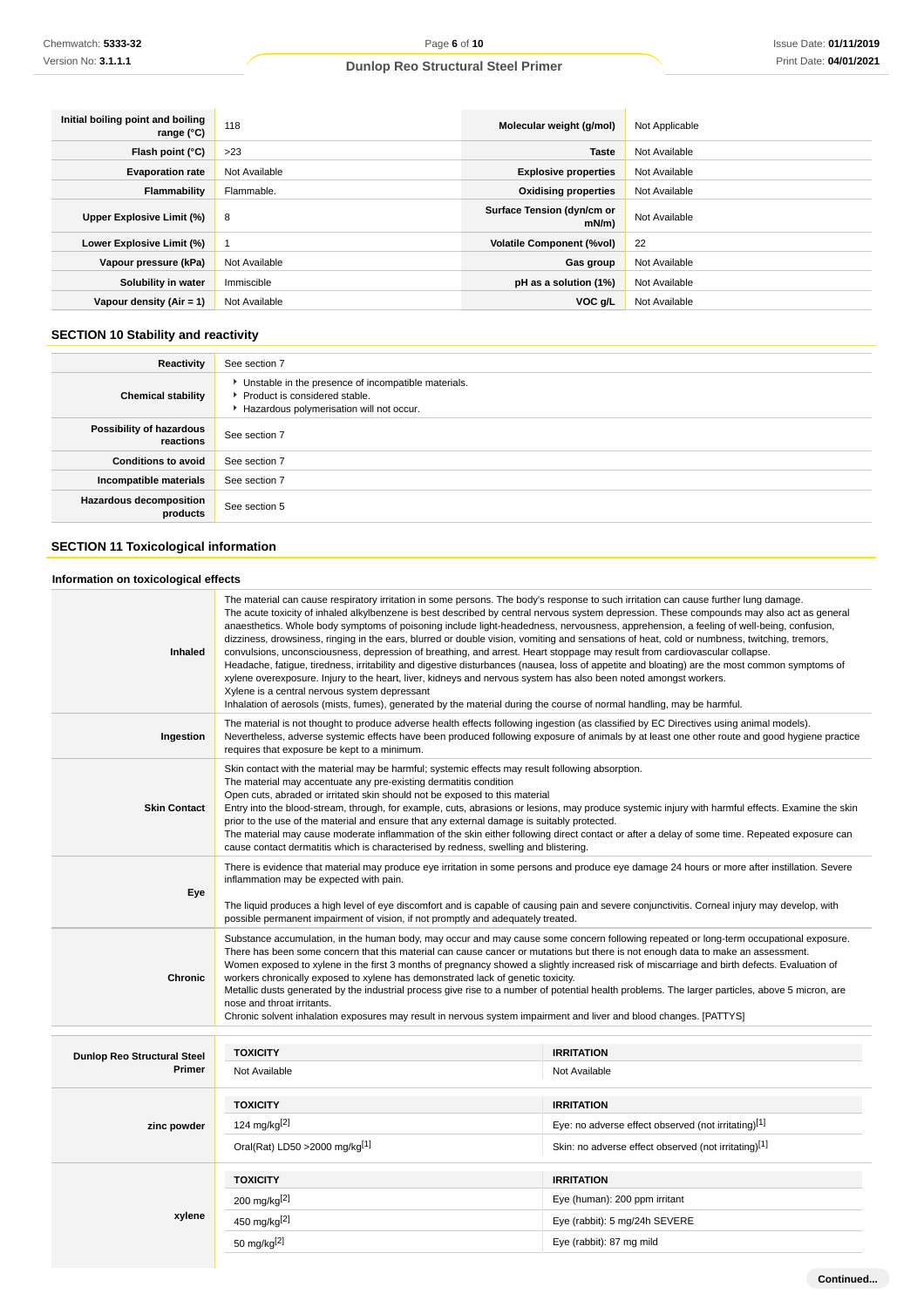| Initial boiling point and boiling<br>range $(^{\circ}C)$ | 118           | Molecular weight (g/mol)           | Not Applicable |
|----------------------------------------------------------|---------------|------------------------------------|----------------|
| Flash point $(°C)$                                       | >23           | <b>Taste</b>                       | Not Available  |
| <b>Evaporation rate</b>                                  | Not Available | <b>Explosive properties</b>        | Not Available  |
| Flammability                                             | Flammable.    | <b>Oxidising properties</b>        | Not Available  |
| Upper Explosive Limit (%)                                | 8             | Surface Tension (dyn/cm or<br>mN/m | Not Available  |
| Lower Explosive Limit (%)                                |               | <b>Volatile Component (%vol)</b>   | 22             |
| Vapour pressure (kPa)                                    | Not Available | Gas group                          | Not Available  |
| Solubility in water                                      | Immiscible    | pH as a solution (1%)              | Not Available  |
| Vapour density $(Air = 1)$                               | Not Available | VOC g/L                            | Not Available  |

# **SECTION 10 Stability and reactivity**

| Reactivity                                 | See section 7                                                                                                                        |
|--------------------------------------------|--------------------------------------------------------------------------------------------------------------------------------------|
| <b>Chemical stability</b>                  | • Unstable in the presence of incompatible materials.<br>▶ Product is considered stable.<br>Hazardous polymerisation will not occur. |
| Possibility of hazardous<br>reactions      | See section 7                                                                                                                        |
| <b>Conditions to avoid</b>                 | See section 7                                                                                                                        |
| Incompatible materials                     | See section 7                                                                                                                        |
| <b>Hazardous decomposition</b><br>products | See section 5                                                                                                                        |

# **SECTION 11 Toxicological information**

## **Information on toxicological effects**

| Inhaled                                      | The material can cause respiratory irritation in some persons. The body's response to such irritation can cause further lung damage.<br>The acute toxicity of inhaled alkylbenzene is best described by central nervous system depression. These compounds may also act as general<br>anaesthetics. Whole body symptoms of poisoning include light-headedness, nervousness, apprehension, a feeling of well-being, confusion,<br>dizziness, drowsiness, ringing in the ears, blurred or double vision, vomiting and sensations of heat, cold or numbness, twitching, tremors,<br>convulsions, unconsciousness, depression of breathing, and arrest. Heart stoppage may result from cardiovascular collapse.<br>Headache, fatigue, tiredness, irritability and digestive disturbances (nausea, loss of appetite and bloating) are the most common symptoms of<br>xylene overexposure. Injury to the heart, liver, kidneys and nervous system has also been noted amongst workers.<br>Xylene is a central nervous system depressant<br>Inhalation of aerosols (mists, fumes), generated by the material during the course of normal handling, may be harmful. |                                                                          |  |
|----------------------------------------------|-------------------------------------------------------------------------------------------------------------------------------------------------------------------------------------------------------------------------------------------------------------------------------------------------------------------------------------------------------------------------------------------------------------------------------------------------------------------------------------------------------------------------------------------------------------------------------------------------------------------------------------------------------------------------------------------------------------------------------------------------------------------------------------------------------------------------------------------------------------------------------------------------------------------------------------------------------------------------------------------------------------------------------------------------------------------------------------------------------------------------------------------------------------|--------------------------------------------------------------------------|--|
| Ingestion                                    | The material is not thought to produce adverse health effects following ingestion (as classified by EC Directives using animal models).<br>Nevertheless, adverse systemic effects have been produced following exposure of animals by at least one other route and good hygiene practice<br>requires that exposure be kept to a minimum.                                                                                                                                                                                                                                                                                                                                                                                                                                                                                                                                                                                                                                                                                                                                                                                                                    |                                                                          |  |
| <b>Skin Contact</b>                          | Skin contact with the material may be harmful; systemic effects may result following absorption.<br>The material may accentuate any pre-existing dermatitis condition<br>Open cuts, abraded or irritated skin should not be exposed to this material<br>Entry into the blood-stream, through, for example, cuts, abrasions or lesions, may produce systemic injury with harmful effects. Examine the skin<br>prior to the use of the material and ensure that any external damage is suitably protected.<br>The material may cause moderate inflammation of the skin either following direct contact or after a delay of some time. Repeated exposure can<br>cause contact dermatitis which is characterised by redness, swelling and blistering.                                                                                                                                                                                                                                                                                                                                                                                                           |                                                                          |  |
| Eye                                          | There is evidence that material may produce eye irritation in some persons and produce eye damage 24 hours or more after instillation. Severe<br>inflammation may be expected with pain.<br>The liquid produces a high level of eye discomfort and is capable of causing pain and severe conjunctivitis. Corneal injury may develop, with<br>possible permanent impairment of vision, if not promptly and adequately treated.                                                                                                                                                                                                                                                                                                                                                                                                                                                                                                                                                                                                                                                                                                                               |                                                                          |  |
| <b>Chronic</b>                               | Substance accumulation, in the human body, may occur and may cause some concern following repeated or long-term occupational exposure.<br>There has been some concern that this material can cause cancer or mutations but there is not enough data to make an assessment.<br>Women exposed to xylene in the first 3 months of pregnancy showed a slightly increased risk of miscarriage and birth defects. Evaluation of<br>workers chronically exposed to xylene has demonstrated lack of genetic toxicity.<br>Metallic dusts generated by the industrial process give rise to a number of potential health problems. The larger particles, above 5 micron, are<br>nose and throat irritants.<br>Chronic solvent inhalation exposures may result in nervous system impairment and liver and blood changes. [PATTYS]                                                                                                                                                                                                                                                                                                                                       |                                                                          |  |
|                                              | <b>TOXICITY</b>                                                                                                                                                                                                                                                                                                                                                                                                                                                                                                                                                                                                                                                                                                                                                                                                                                                                                                                                                                                                                                                                                                                                             | <b>IRRITATION</b>                                                        |  |
| <b>Dunlop Reo Structural Steel</b><br>Primer | Not Available                                                                                                                                                                                                                                                                                                                                                                                                                                                                                                                                                                                                                                                                                                                                                                                                                                                                                                                                                                                                                                                                                                                                               | Not Available                                                            |  |
| zinc powder                                  | <b>TOXICITY</b><br>124 mg/kg <sup>[2]</sup>                                                                                                                                                                                                                                                                                                                                                                                                                                                                                                                                                                                                                                                                                                                                                                                                                                                                                                                                                                                                                                                                                                                 | <b>IRRITATION</b><br>Eye: no adverse effect observed (not irritating)[1] |  |
|                                              | Oral(Rat) LD50 > 2000 mg/kg[1]                                                                                                                                                                                                                                                                                                                                                                                                                                                                                                                                                                                                                                                                                                                                                                                                                                                                                                                                                                                                                                                                                                                              | Skin: no adverse effect observed (not irritating)[1]                     |  |
|                                              | <b>TOXICITY</b>                                                                                                                                                                                                                                                                                                                                                                                                                                                                                                                                                                                                                                                                                                                                                                                                                                                                                                                                                                                                                                                                                                                                             | <b>IRRITATION</b>                                                        |  |
|                                              | 200 mg/kg[2]                                                                                                                                                                                                                                                                                                                                                                                                                                                                                                                                                                                                                                                                                                                                                                                                                                                                                                                                                                                                                                                                                                                                                | Eye (human): 200 ppm irritant                                            |  |
| xylene                                       | 450 mg/kg <sup>[2]</sup>                                                                                                                                                                                                                                                                                                                                                                                                                                                                                                                                                                                                                                                                                                                                                                                                                                                                                                                                                                                                                                                                                                                                    | Eye (rabbit): 5 mg/24h SEVERE                                            |  |
|                                              | 50 mg/kg[2]                                                                                                                                                                                                                                                                                                                                                                                                                                                                                                                                                                                                                                                                                                                                                                                                                                                                                                                                                                                                                                                                                                                                                 | Eye (rabbit): 87 mg mild                                                 |  |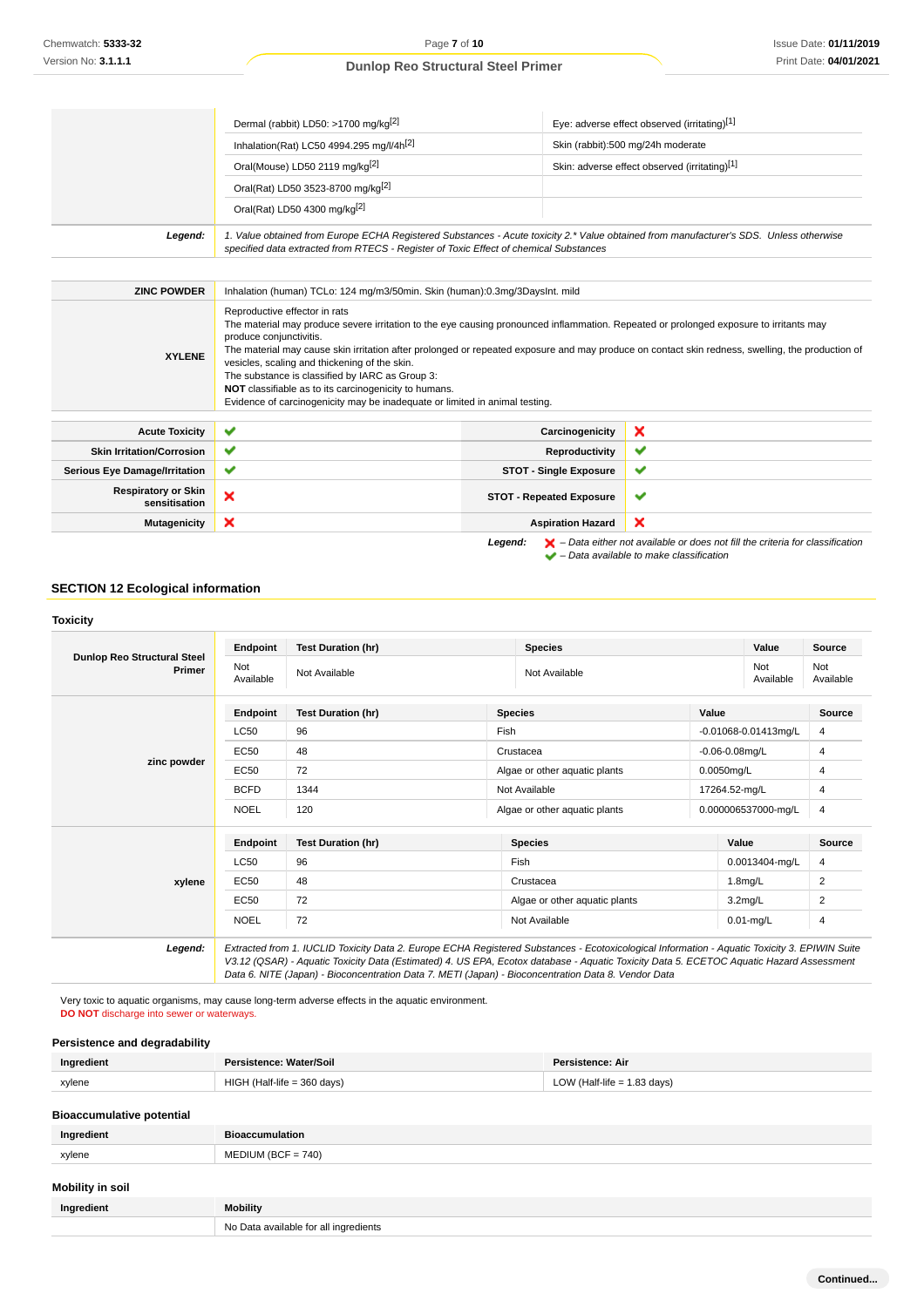and the control of the control of

## **Dunlop Reo Structural Steel Primer**

|                                             | Dermal (rabbit) LD50: >1700 mg/kg <sup>[2]</sup>                                                                                                                                                                                                                                                                                                                                                                                                                                                                                                                                                   |                                 | Eye: adverse effect observed (irritating)[1]                                                                                                                        |
|---------------------------------------------|----------------------------------------------------------------------------------------------------------------------------------------------------------------------------------------------------------------------------------------------------------------------------------------------------------------------------------------------------------------------------------------------------------------------------------------------------------------------------------------------------------------------------------------------------------------------------------------------------|---------------------------------|---------------------------------------------------------------------------------------------------------------------------------------------------------------------|
|                                             | Inhalation(Rat) LC50 4994.295 mg/l/4h[2]                                                                                                                                                                                                                                                                                                                                                                                                                                                                                                                                                           |                                 | Skin (rabbit):500 mg/24h moderate                                                                                                                                   |
|                                             | Oral(Mouse) LD50 2119 mg/kg <sup>[2]</sup>                                                                                                                                                                                                                                                                                                                                                                                                                                                                                                                                                         |                                 | Skin: adverse effect observed (irritating)[1]                                                                                                                       |
|                                             | Oral(Rat) LD50 3523-8700 mg/kg <sup>[2]</sup>                                                                                                                                                                                                                                                                                                                                                                                                                                                                                                                                                      |                                 |                                                                                                                                                                     |
|                                             | Oral(Rat) LD50 4300 mg/kg[2]                                                                                                                                                                                                                                                                                                                                                                                                                                                                                                                                                                       |                                 |                                                                                                                                                                     |
| Legend:                                     | 1. Value obtained from Europe ECHA Registered Substances - Acute toxicity 2.* Value obtained from manufacturer's SDS. Unless otherwise<br>specified data extracted from RTECS - Register of Toxic Effect of chemical Substances                                                                                                                                                                                                                                                                                                                                                                    |                                 |                                                                                                                                                                     |
|                                             |                                                                                                                                                                                                                                                                                                                                                                                                                                                                                                                                                                                                    |                                 |                                                                                                                                                                     |
| <b>ZINC POWDER</b>                          | Inhalation (human) TCLo: 124 mg/m3/50min. Skin (human):0.3mg/3DaysInt. mild                                                                                                                                                                                                                                                                                                                                                                                                                                                                                                                        |                                 |                                                                                                                                                                     |
| <b>XYLENE</b>                               | Reproductive effector in rats<br>The material may produce severe irritation to the eye causing pronounced inflammation. Repeated or prolonged exposure to irritants may<br>produce conjunctivitis.<br>The material may cause skin irritation after prolonged or repeated exposure and may produce on contact skin redness, swelling, the production of<br>vesicles, scaling and thickening of the skin.<br>The substance is classified by IARC as Group 3:<br>NOT classifiable as to its carcinogenicity to humans.<br>Evidence of carcinogenicity may be inadequate or limited in animal testing. |                                 |                                                                                                                                                                     |
| <b>Acute Toxicity</b>                       | $\checkmark$                                                                                                                                                                                                                                                                                                                                                                                                                                                                                                                                                                                       | Carcinogenicity                 | ×                                                                                                                                                                   |
| <b>Skin Irritation/Corrosion</b>            | ✔                                                                                                                                                                                                                                                                                                                                                                                                                                                                                                                                                                                                  | Reproductivity                  | ✔                                                                                                                                                                   |
| <b>Serious Eye Damage/Irritation</b>        | ✔                                                                                                                                                                                                                                                                                                                                                                                                                                                                                                                                                                                                  | <b>STOT - Single Exposure</b>   | ✔                                                                                                                                                                   |
| <b>Respiratory or Skin</b><br>sensitisation | ×                                                                                                                                                                                                                                                                                                                                                                                                                                                                                                                                                                                                  | <b>STOT - Repeated Exposure</b> | ✔                                                                                                                                                                   |
| <b>Mutagenicity</b>                         | ×                                                                                                                                                                                                                                                                                                                                                                                                                                                                                                                                                                                                  | <b>Aspiration Hazard</b>        | ×                                                                                                                                                                   |
|                                             |                                                                                                                                                                                                                                                                                                                                                                                                                                                                                                                                                                                                    | Legend:                         | $\blacktriangleright$ – Data either not available or does not fill the criteria for classification<br>$\blacktriangleright$ - Data available to make classification |

## **SECTION 12 Ecological information**

| <b>Dunlop Reo Structural Steel</b><br>Primer | <b>Endpoint</b>  | <b>Test Duration (hr)</b><br><b>Species</b>                                                                                                                                                                                                                                              |                               |                      | Value               | <b>Source</b>             |                  |
|----------------------------------------------|------------------|------------------------------------------------------------------------------------------------------------------------------------------------------------------------------------------------------------------------------------------------------------------------------------------|-------------------------------|----------------------|---------------------|---------------------------|------------------|
|                                              | Not<br>Available | Not Available                                                                                                                                                                                                                                                                            |                               | Not<br>Not Available |                     | Available                 | Not<br>Available |
|                                              | <b>Endpoint</b>  | <b>Test Duration (hr)</b>                                                                                                                                                                                                                                                                | <b>Species</b>                |                      | Value               |                           |                  |
|                                              | <b>LC50</b>      | 96                                                                                                                                                                                                                                                                                       | Fish                          |                      |                     | $-0.01068 - 0.01413$ mg/L |                  |
|                                              | EC50             | 48                                                                                                                                                                                                                                                                                       |                               | Crustacea            |                     | $-0.06 - 0.08$ mg/L       |                  |
| zinc powder                                  | EC50             | 72                                                                                                                                                                                                                                                                                       | Algae or other aguatic plants |                      |                     | 0.0050mg/L                |                  |
|                                              | <b>BCFD</b>      | 1344                                                                                                                                                                                                                                                                                     | Not Available                 |                      |                     | 17264.52-mg/L             |                  |
|                                              | <b>NOEL</b>      | 120                                                                                                                                                                                                                                                                                      | Algae or other aquatic plants |                      |                     | 0.000006537000-mg/L       | 4                |
|                                              | <b>Endpoint</b>  | <b>Species</b><br><b>Test Duration (hr)</b>                                                                                                                                                                                                                                              |                               |                      | Value               | <b>Source</b>             |                  |
|                                              | LC50             | 96                                                                                                                                                                                                                                                                                       | Fish                          |                      |                     | 0.0013404-mg/L            | 4                |
| xylene                                       | EC50             | 48<br>Crustacea                                                                                                                                                                                                                                                                          |                               |                      | 1.8 <sub>mq/L</sub> | 2                         |                  |
|                                              | EC50             | 72<br>Algae or other aquatic plants                                                                                                                                                                                                                                                      |                               |                      | 3.2 <sub>mq/L</sub> | 2                         |                  |
|                                              | <b>NOEL</b>      | 72<br>Not Available                                                                                                                                                                                                                                                                      |                               |                      | $0.01$ -mg/L        | 4                         |                  |
| Legend:                                      |                  | Extracted from 1. IUCLID Toxicity Data 2. Europe ECHA Registered Substances - Ecotoxicological Information - Aquatic Toxicity 3. EPIWIN Suite<br>V3.12 (QSAR) - Aquatic Toxicity Data (Estimated) 4. US EPA, Ecotox database - Aquatic Toxicity Data 5. ECETOC Aquatic Hazard Assessment |                               |                      |                     |                           |                  |

Very toxic to aquatic organisms, may cause long-term adverse effects in the aquatic environment. **DO NOT** discharge into sewer or waterways.

## **Persistence and degradability**

| Ingredient                       | Persistence: Water/Soil       | Persistence: Air              |
|----------------------------------|-------------------------------|-------------------------------|
| xylene                           | $HIGH$ (Half-life = 360 days) | LOW (Half-life $= 1.83$ days) |
| <b>Bioaccumulative potential</b> |                               |                               |

| Ingredient | Ric              |
|------------|------------------|
| xylene     | 740)<br>וור<br>. |
|            |                  |

## **Mobility in soil**

| Ingredient | Mobility.                             |
|------------|---------------------------------------|
|            | No Data available for all ingredients |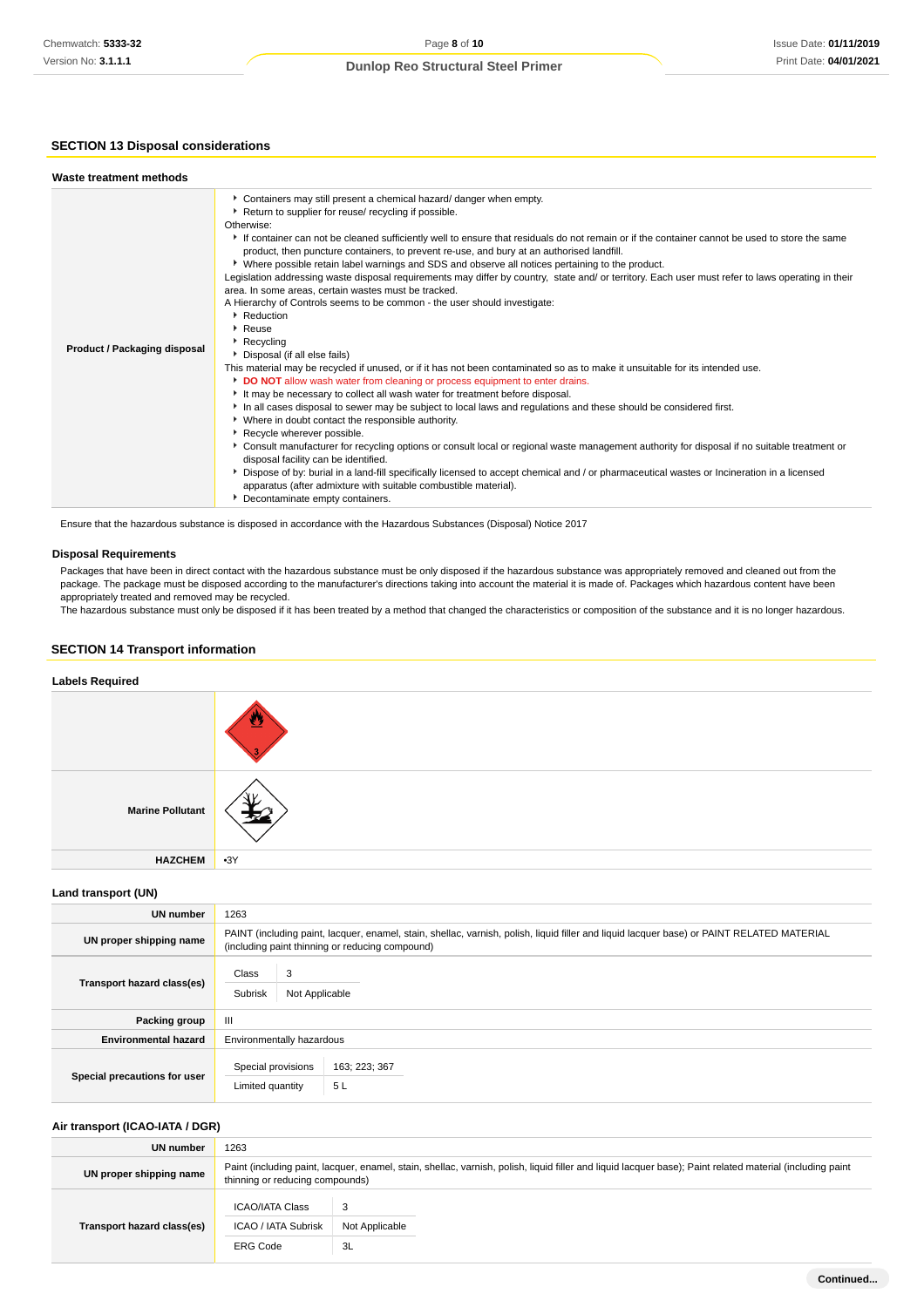## **SECTION 13 Disposal considerations**

| Waste treatment methods             |                                                                                                                                                                                                                                                                                                                                                                                                                                                                                                                                                                                                                                                                                                                                                                                                                                                                                                                                                                                                                                                                                                                                                                                                                                                                                                                                                                                                                                                                                                                                                                                                                                                                                                                                                                                                                        |
|-------------------------------------|------------------------------------------------------------------------------------------------------------------------------------------------------------------------------------------------------------------------------------------------------------------------------------------------------------------------------------------------------------------------------------------------------------------------------------------------------------------------------------------------------------------------------------------------------------------------------------------------------------------------------------------------------------------------------------------------------------------------------------------------------------------------------------------------------------------------------------------------------------------------------------------------------------------------------------------------------------------------------------------------------------------------------------------------------------------------------------------------------------------------------------------------------------------------------------------------------------------------------------------------------------------------------------------------------------------------------------------------------------------------------------------------------------------------------------------------------------------------------------------------------------------------------------------------------------------------------------------------------------------------------------------------------------------------------------------------------------------------------------------------------------------------------------------------------------------------|
| <b>Product / Packaging disposal</b> | Containers may still present a chemical hazard/ danger when empty.<br>▶ Return to supplier for reuse/ recycling if possible.<br>Otherwise:<br>If container can not be cleaned sufficiently well to ensure that residuals do not remain or if the container cannot be used to store the same<br>product, then puncture containers, to prevent re-use, and bury at an authorised landfill.<br>▶ Where possible retain label warnings and SDS and observe all notices pertaining to the product.<br>Legislation addressing waste disposal requirements may differ by country, state and/ or territory. Each user must refer to laws operating in their<br>area. In some areas, certain wastes must be tracked.<br>A Hierarchy of Controls seems to be common - the user should investigate:<br>Reduction<br>▶ Reuse<br>Recycling<br>Disposal (if all else fails)<br>This material may be recycled if unused, or if it has not been contaminated so as to make it unsuitable for its intended use.<br>DO NOT allow wash water from cleaning or process equipment to enter drains.<br>It may be necessary to collect all wash water for treatment before disposal.<br>In all cases disposal to sewer may be subject to local laws and regulations and these should be considered first.<br>▶ Where in doubt contact the responsible authority.<br>Recycle wherever possible.<br>▶ Consult manufacturer for recycling options or consult local or regional waste management authority for disposal if no suitable treatment or<br>disposal facility can be identified.<br>▶ Dispose of by: burial in a land-fill specifically licensed to accept chemical and / or pharmaceutical wastes or Incineration in a licensed<br>apparatus (after admixture with suitable combustible material).<br>Decontaminate empty containers. |

Ensure that the hazardous substance is disposed in accordance with the Hazardous Substances (Disposal) Notice 2017

## **Disposal Requirements**

Packages that have been in direct contact with the hazardous substance must be only disposed if the hazardous substance was appropriately removed and cleaned out from the package. The package must be disposed according to the manufacturer's directions taking into account the material it is made of. Packages which hazardous content have been appropriately treated and removed may be recycled.

The hazardous substance must only be disposed if it has been treated by a method that changed the characteristics or composition of the substance and it is no longer hazardous.

## **SECTION 14 Transport information**

## **Labels Required**

| <b>Marine Pollutant</b> |       |
|-------------------------|-------|
| <b>HAZCHEM</b>          | $-3Y$ |

#### **Land transport (UN)**

| <b>UN number</b>             | 1263                                                                                                                                                                                          |  |  |
|------------------------------|-----------------------------------------------------------------------------------------------------------------------------------------------------------------------------------------------|--|--|
| UN proper shipping name      | PAINT (including paint, lacquer, enamel, stain, shellac, varnish, polish, liquid filler and liquid lacquer base) or PAINT RELATED MATERIAL<br>(including paint thinning or reducing compound) |  |  |
| Transport hazard class(es)   | 3<br>Class<br>Subrisk<br>Not Applicable                                                                                                                                                       |  |  |
| Packing group                | Ш                                                                                                                                                                                             |  |  |
| <b>Environmental hazard</b>  | Environmentally hazardous                                                                                                                                                                     |  |  |
| Special precautions for user | Special provisions<br>163; 223; 367<br>5L<br>Limited quantity                                                                                                                                 |  |  |

## **Air transport (ICAO-IATA / DGR)**

| UN number                  | 1263                                                                                                                                                                                         |                           |  |
|----------------------------|----------------------------------------------------------------------------------------------------------------------------------------------------------------------------------------------|---------------------------|--|
| UN proper shipping name    | Paint (including paint, lacquer, enamel, stain, shellac, varnish, polish, liquid filler and liquid lacquer base); Paint related material (including paint<br>thinning or reducing compounds) |                           |  |
| Transport hazard class(es) | <b>ICAO/IATA Class</b><br><b>ICAO / IATA Subrisk</b><br><b>ERG Code</b>                                                                                                                      | 3<br>Not Applicable<br>3L |  |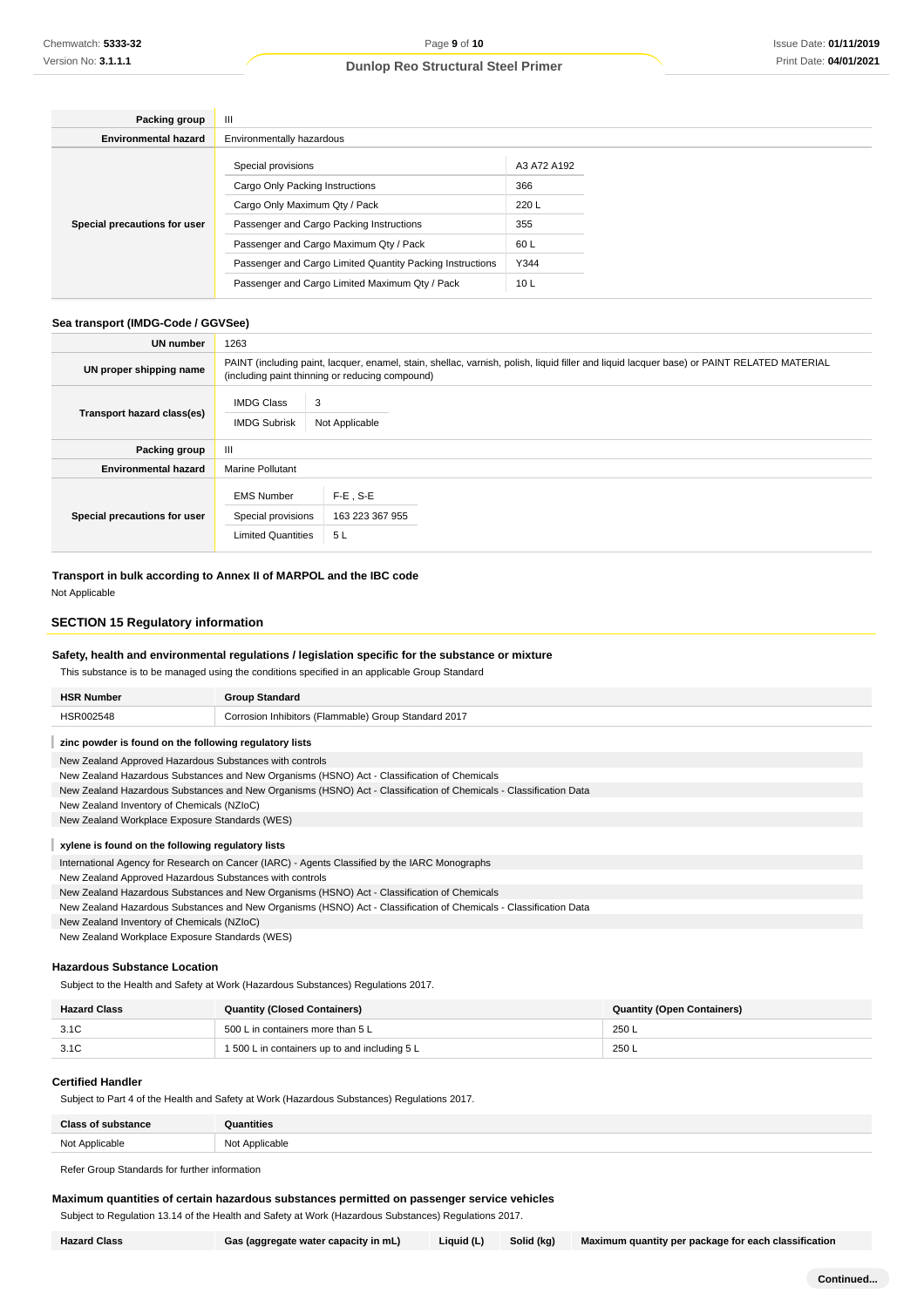| Packing group                | Ш                                                         |                 |  |
|------------------------------|-----------------------------------------------------------|-----------------|--|
| <b>Environmental hazard</b>  | Environmentally hazardous                                 |                 |  |
| Special precautions for user | Special provisions                                        | A3 A72 A192     |  |
|                              | Cargo Only Packing Instructions                           | 366             |  |
|                              | Cargo Only Maximum Qty / Pack                             | 220 L           |  |
|                              | Passenger and Cargo Packing Instructions                  | 355             |  |
|                              | Passenger and Cargo Maximum Qty / Pack                    | 60 L            |  |
|                              | Passenger and Cargo Limited Quantity Packing Instructions | Y344            |  |
|                              | Passenger and Cargo Limited Maximum Qty / Pack            | 10 <sub>L</sub> |  |

## **Sea transport (IMDG-Code / GGVSee)**

| <b>UN number</b>             | 1263                                                                                                                                                                                          |                                       |  |
|------------------------------|-----------------------------------------------------------------------------------------------------------------------------------------------------------------------------------------------|---------------------------------------|--|
| UN proper shipping name      | PAINT (including paint, lacquer, enamel, stain, shellac, varnish, polish, liquid filler and liquid lacquer base) or PAINT RELATED MATERIAL<br>(including paint thinning or reducing compound) |                                       |  |
| Transport hazard class(es)   | <b>IMDG Class</b><br><b>IMDG Subrisk</b>                                                                                                                                                      | 3<br>Not Applicable                   |  |
| Packing group                | Ш                                                                                                                                                                                             |                                       |  |
| <b>Environmental hazard</b>  | <b>Marine Pollutant</b>                                                                                                                                                                       |                                       |  |
| Special precautions for user | <b>EMS Number</b><br>Special provisions<br><b>Limited Quantities</b>                                                                                                                          | $F-E$ , S-E<br>163 223 367 955<br>5 L |  |

**Transport in bulk according to Annex II of MARPOL and the IBC code**

Not Applicable

## **SECTION 15 Regulatory information**

## **Safety, health and environmental regulations / legislation specific for the substance or mixture**

This substance is to be managed using the conditions specified in an applicable Group Standard

| <b>HSR Number</b>                                       | <b>Group Standard</b>                                                                                             |
|---------------------------------------------------------|-------------------------------------------------------------------------------------------------------------------|
| HSR002548                                               | Corrosion Inhibitors (Flammable) Group Standard 2017                                                              |
| zinc powder is found on the following regulatory lists  |                                                                                                                   |
| New Zealand Approved Hazardous Substances with controls |                                                                                                                   |
|                                                         | New Zealand Hazardous Substances and New Organisms (HSNO) Act - Classification of Chemicals                       |
|                                                         | New Zealand Hazardous Substances and New Organisms (HSNO) Act - Classification of Chemicals - Classification Data |
| New Zealand Inventory of Chemicals (NZIoC)              |                                                                                                                   |
| New Zealand Workplace Exposure Standards (WES)          |                                                                                                                   |
| xylene is found on the following regulatory lists       |                                                                                                                   |
|                                                         | International Agency for Research on Cancer (IARC) - Agents Classified by the IARC Monographs                     |
| New Zealand Approved Hazardous Substances with controls |                                                                                                                   |
|                                                         | New Zealand Hazardous Substances and New Organisms (HSNO) Act - Classification of Chemicals                       |
|                                                         | New Zealand Hazardous Substances and New Organisms (HSNO) Act - Classification of Chemicals - Classification Data |
| New Zealand Inventory of Chemicals (NZIoC)              |                                                                                                                   |

New Zealand Workplace Exposure Standards (WES)

## **Hazardous Substance Location**

Subject to the Health and Safety at Work (Hazardous Substances) Regulations 2017.

| <b>Hazard Class</b> | <b>Quantity (Closed Containers)</b>           | <b>Quantity (Open Containers)</b> |
|---------------------|-----------------------------------------------|-----------------------------------|
| 3.1C                | 500 L in containers more than 5 L             | 250 L                             |
| 3.1C                | 1 500 L in containers up to and including 5 L | 250 L                             |

## **Certified Handler**

Subject to Part 4 of the Health and Safety at Work (Hazardous Substances) Regulations 2017.

| <b>Class of substance</b> | ิ<br>Quantities |
|---------------------------|-----------------|
| Not Applicable            | Not Applicable  |

Refer Group Standards for further information

## **Maximum quantities of certain hazardous substances permitted on passenger service vehicles**

Subject to Regulation 13.14 of the Health and Safety at Work (Hazardous Substances) Regulations 2017.